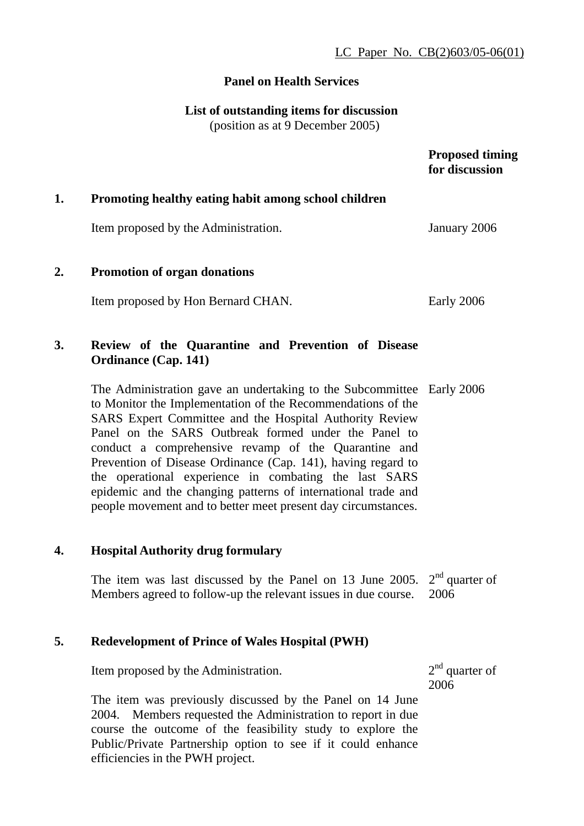## **Panel on Health Services**

**List of outstanding items for discussion** 

(position as at 9 December 2005)

|    |                                                                                                                                                                                                                                                                                                                                                                                                                                                                                                                                                                            | <b>Proposed timing</b><br>for discussion |
|----|----------------------------------------------------------------------------------------------------------------------------------------------------------------------------------------------------------------------------------------------------------------------------------------------------------------------------------------------------------------------------------------------------------------------------------------------------------------------------------------------------------------------------------------------------------------------------|------------------------------------------|
| 1. | Promoting healthy eating habit among school children                                                                                                                                                                                                                                                                                                                                                                                                                                                                                                                       |                                          |
|    | Item proposed by the Administration.                                                                                                                                                                                                                                                                                                                                                                                                                                                                                                                                       | January 2006                             |
| 2. | Promotion of organ donations                                                                                                                                                                                                                                                                                                                                                                                                                                                                                                                                               |                                          |
|    | Item proposed by Hon Bernard CHAN.                                                                                                                                                                                                                                                                                                                                                                                                                                                                                                                                         | Early 2006                               |
| 3. | Review of the Quarantine and Prevention of Disease<br><b>Ordinance (Cap. 141)</b>                                                                                                                                                                                                                                                                                                                                                                                                                                                                                          |                                          |
|    | The Administration gave an undertaking to the Subcommittee Early 2006<br>to Monitor the Implementation of the Recommendations of the<br>SARS Expert Committee and the Hospital Authority Review<br>Panel on the SARS Outbreak formed under the Panel to<br>conduct a comprehensive revamp of the Quarantine and<br>Prevention of Disease Ordinance (Cap. 141), having regard to<br>the operational experience in combating the last SARS<br>epidemic and the changing patterns of international trade and<br>people movement and to better meet present day circumstances. |                                          |
| 4. | <b>Hospital Authority drug formulary</b>                                                                                                                                                                                                                                                                                                                                                                                                                                                                                                                                   |                                          |
|    | The item was last discussed by the Panel on 13 June 2005. $2nd$ quarter of<br>Members agreed to follow-up the relevant issues in due course.                                                                                                                                                                                                                                                                                                                                                                                                                               | 2006                                     |
| 5. | <b>Redevelopment of Prince of Wales Hospital (PWH)</b>                                                                                                                                                                                                                                                                                                                                                                                                                                                                                                                     |                                          |
|    | Item proposed by the Administration.                                                                                                                                                                                                                                                                                                                                                                                                                                                                                                                                       | $2nd$ quarter of<br>2006                 |

The item was previously discussed by the Panel on 14 June 2004. Members requested the Administration to report in due course the outcome of the feasibility study to explore the Public/Private Partnership option to see if it could enhance efficiencies in the PWH project.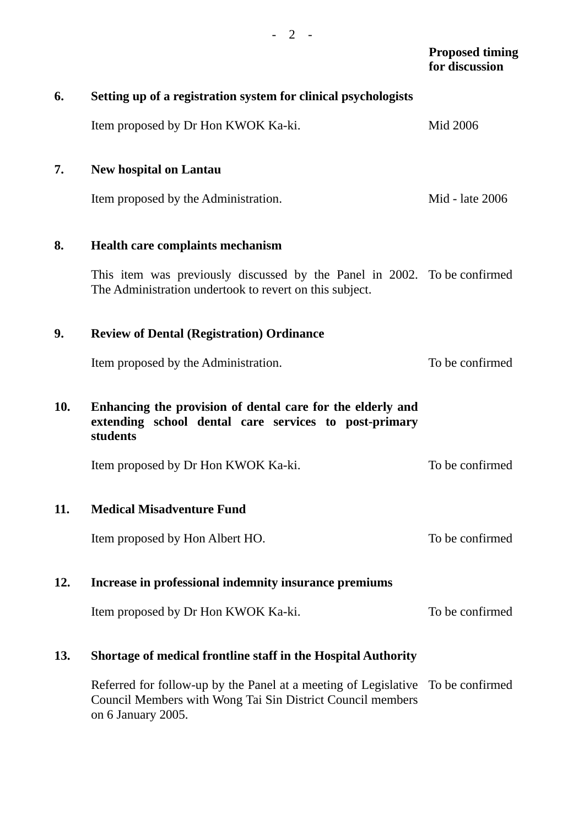|     |                                                                                                                                                                     | <b>Proposed timing</b><br>for discussion |
|-----|---------------------------------------------------------------------------------------------------------------------------------------------------------------------|------------------------------------------|
| 6.  | Setting up of a registration system for clinical psychologists                                                                                                      |                                          |
|     | Item proposed by Dr Hon KWOK Ka-ki.                                                                                                                                 | Mid 2006                                 |
| 7.  | <b>New hospital on Lantau</b>                                                                                                                                       |                                          |
|     | Item proposed by the Administration.                                                                                                                                | Mid - late 2006                          |
| 8.  | <b>Health care complaints mechanism</b>                                                                                                                             |                                          |
|     | This item was previously discussed by the Panel in 2002. To be confirmed<br>The Administration undertook to revert on this subject.                                 |                                          |
| 9.  | <b>Review of Dental (Registration) Ordinance</b>                                                                                                                    |                                          |
|     | Item proposed by the Administration.                                                                                                                                | To be confirmed                          |
| 10. | Enhancing the provision of dental care for the elderly and<br>extending school dental care services to post-primary<br>students                                     |                                          |
|     | Item proposed by Dr Hon KWOK Ka-ki.                                                                                                                                 | To be confirmed                          |
| 11. | <b>Medical Misadventure Fund</b>                                                                                                                                    |                                          |
|     | Item proposed by Hon Albert HO.                                                                                                                                     | To be confirmed                          |
| 12. | Increase in professional indemnity insurance premiums                                                                                                               |                                          |
|     | Item proposed by Dr Hon KWOK Ka-ki.                                                                                                                                 | To be confirmed                          |
| 13. | <b>Shortage of medical frontline staff in the Hospital Authority</b>                                                                                                |                                          |
|     | Referred for follow-up by the Panel at a meeting of Legislative To be confirmed<br>Council Members with Wong Tai Sin District Council members<br>on 6 January 2005. |                                          |